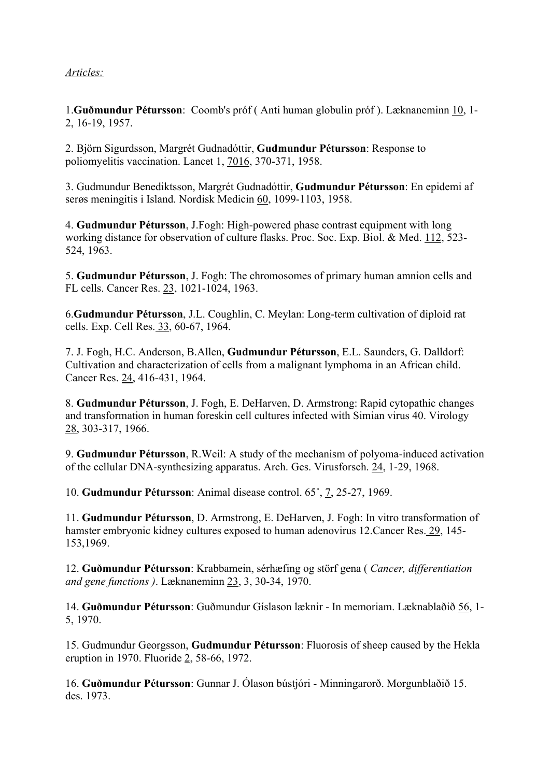## Articles:

1.Guðmundur Pétursson: Coomb's próf ( Anti human globulin próf ). Læknaneminn 10, 1- 2, 16-19, 1957.

2. Björn Sigurdsson, Margrét Gudnadóttir, Gudmundur Pétursson: Response to poliomyelitis vaccination. Lancet 1, 7016, 370-371, 1958.

3. Gudmundur Benediktsson, Margrét Gudnadóttir, Gudmundur Pétursson: En epidemi af serøs meningitis i Island. Nordisk Medicin 60, 1099-1103, 1958.

4. Gudmundur Pétursson, J.Fogh: High-powered phase contrast equipment with long working distance for observation of culture flasks. Proc. Soc. Exp. Biol. & Med. 112, 523- 524, 1963.

5. Gudmundur Pétursson, J. Fogh: The chromosomes of primary human amnion cells and FL cells. Cancer Res. 23, 1021-1024, 1963.

6.Gudmundur Pétursson, J.L. Coughlin, C. Meylan: Long-term cultivation of diploid rat cells. Exp. Cell Res. 33, 60-67, 1964.

7. J. Fogh, H.C. Anderson, B.Allen, Gudmundur Pétursson, E.L. Saunders, G. Dalldorf: Cultivation and characterization of cells from a malignant lymphoma in an African child. Cancer Res. 24, 416-431, 1964.

8. Gudmundur Pétursson, J. Fogh, E. DeHarven, D. Armstrong: Rapid cytopathic changes and transformation in human foreskin cell cultures infected with Simian virus 40. Virology 28, 303-317, 1966.

9. Gudmundur Pétursson, R.Weil: A study of the mechanism of polyoma-induced activation of the cellular DNA-synthesizing apparatus. Arch. Ges. Virusforsch. 24, 1-29, 1968.

10. Gudmundur Pétursson: Animal disease control. 65˚, 7, 25-27, 1969.

11. Gudmundur Pétursson, D. Armstrong, E. DeHarven, J. Fogh: In vitro transformation of hamster embryonic kidney cultures exposed to human adenovirus 12.Cancer Res. 29, 145- 153,1969.

12. Guðmundur Pétursson: Krabbamein, sérhæfing og störf gena ( Cancer, differentiation and gene functions ). Læknaneminn 23, 3, 30-34, 1970.

14. Guðmundur Pétursson: Guðmundur Gíslason læknir - In memoriam. Læknablaðið 56, 1- 5, 1970.

15. Gudmundur Georgsson, Gudmundur Pétursson: Fluorosis of sheep caused by the Hekla eruption in 1970. Fluoride 2, 58-66, 1972.

16. Guðmundur Pétursson: Gunnar J. Ólason bústjóri - Minningarorð. Morgunblaðið 15. des. 1973.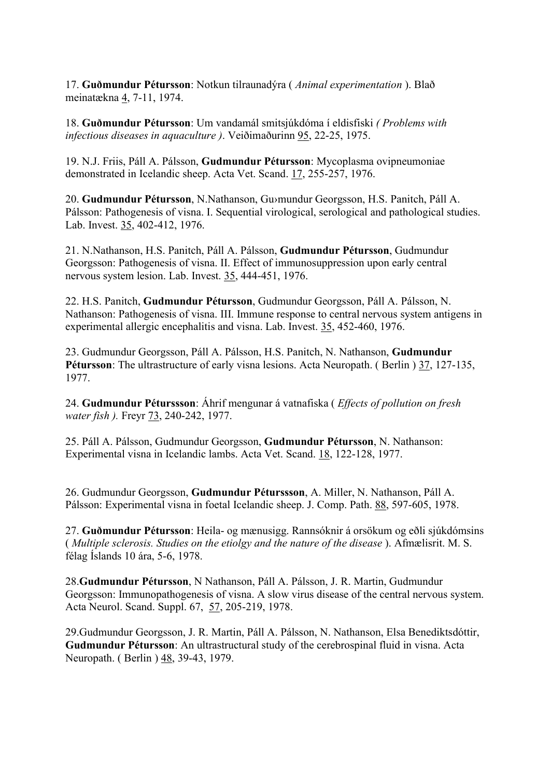17. Guðmundur Pétursson: Notkun tilraunadýra (Animal experimentation). Blað meinatækna 4, 7-11, 1974.

18. Guðmundur Pétursson: Um vandamál smitsjúkdóma í eldisfiski ( Problems with infectious diseases in aquaculture ). Veiðimaðurinn 95, 22-25, 1975.

19. N.J. Friis, Páll A. Pálsson, Gudmundur Pétursson: Mycoplasma ovipneumoniae demonstrated in Icelandic sheep. Acta Vet. Scand. 17, 255-257, 1976.

20. Gudmundur Pétursson, N.Nathanson, Gu›mundur Georgsson, H.S. Panitch, Páll A. Pálsson: Pathogenesis of visna. I. Sequential virological, serological and pathological studies. Lab. Invest. 35, 402-412, 1976.

21. N.Nathanson, H.S. Panitch, Páll A. Pálsson, Gudmundur Pétursson, Gudmundur Georgsson: Pathogenesis of visna. II. Effect of immunosuppression upon early central nervous system lesion. Lab. Invest. 35, 444-451, 1976.

22. H.S. Panitch, Gudmundur Pétursson, Gudmundur Georgsson, Páll A. Pálsson, N. Nathanson: Pathogenesis of visna. III. Immune response to central nervous system antigens in experimental allergic encephalitis and visna. Lab. Invest. 35, 452-460, 1976.

23. Gudmundur Georgsson, Páll A. Pálsson, H.S. Panitch, N. Nathanson, Gudmundur Pétursson: The ultrastructure of early visna lesions. Acta Neuropath. (Berlin) 37, 127-135, 1977.

24. Gudmundur Péturssson: Áhrif mengunar á vatnafiska (*Effects of pollution on fresh* water fish ). Freyr 73, 240-242, 1977.

25. Páll A. Pálsson, Gudmundur Georgsson, Gudmundur Pétursson, N. Nathanson: Experimental visna in Icelandic lambs. Acta Vet. Scand. 18, 122-128, 1977.

26. Gudmundur Georgsson, Gudmundur Péturssson, A. Miller, N. Nathanson, Páll A. Pálsson: Experimental visna in foetal Icelandic sheep. J. Comp. Path. 88, 597-605, 1978.

27. Guðmundur Pétursson: Heila- og mænusigg. Rannsóknir á orsökum og eðli sjúkdómsins ( Multiple sclerosis. Studies on the etiolgy and the nature of the disease ). Afmælisrit. M. S. félag Íslands 10 ára, 5-6, 1978.

28.Gudmundur Pétursson, N Nathanson, Páll A. Pálsson, J. R. Martin, Gudmundur Georgsson: Immunopathogenesis of visna. A slow virus disease of the central nervous system. Acta Neurol. Scand. Suppl. 67, 57, 205-219, 1978.

29.Gudmundur Georgsson, J. R. Martin, Páll A. Pálsson, N. Nathanson, Elsa Benediktsdóttir, Gudmundur Pétursson: An ultrastructural study of the cerebrospinal fluid in visna. Acta Neuropath. ( Berlin ) 48, 39-43, 1979.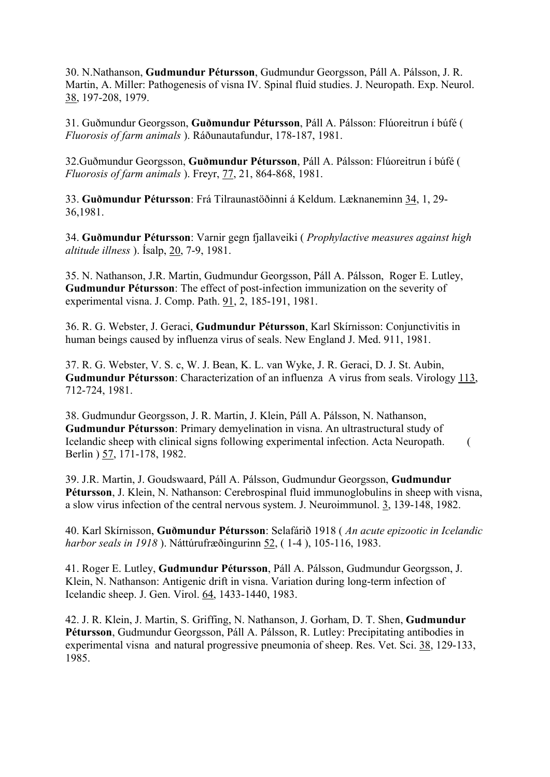30. N.Nathanson, Gudmundur Pétursson, Gudmundur Georgsson, Páll A. Pálsson, J. R. Martin, A. Miller: Pathogenesis of visna IV. Spinal fluid studies. J. Neuropath. Exp. Neurol. 38, 197-208, 1979.

31. Guðmundur Georgsson, Guðmundur Pétursson, Páll A. Pálsson: Flúoreitrun í búfé ( Fluorosis of farm animals ). Ráðunautafundur, 178-187, 1981.

32.Guðmundur Georgsson, Guðmundur Pétursson, Páll A. Pálsson: Flúoreitrun í búfé ( Fluorosis of farm animals ). Freyr, 77, 21, 864-868, 1981.

33. Guðmundur Pétursson: Frá Tilraunastöðinni á Keldum. Læknaneminn 34, 1, 29- 36,1981.

34. Guðmundur Pétursson: Varnir gegn fjallaveiki ( Prophylactive measures against high altitude illness ). Ísalp, 20, 7-9, 1981.

35. N. Nathanson, J.R. Martin, Gudmundur Georgsson, Páll A. Pálsson, Roger E. Lutley, Gudmundur Pétursson: The effect of post-infection immunization on the severity of experimental visna. J. Comp. Path. 91, 2, 185-191, 1981.

36. R. G. Webster, J. Geraci, Gudmundur Pétursson, Karl Skírnisson: Conjunctivitis in human beings caused by influenza virus of seals. New England J. Med. 911, 1981.

37. R. G. Webster, V. S. c, W. J. Bean, K. L. van Wyke, J. R. Geraci, D. J. St. Aubin, Gudmundur Pétursson: Characterization of an influenza A virus from seals. Virology 113, 712-724, 1981.

38. Gudmundur Georgsson, J. R. Martin, J. Klein, Páll A. Pálsson, N. Nathanson, Gudmundur Pétursson: Primary demyelination in visna. An ultrastructural study of Icelandic sheep with clinical signs following experimental infection. Acta Neuropath. ( Berlin ) 57, 171-178, 1982.

39. J.R. Martin, J. Goudswaard, Páll A. Pálsson, Gudmundur Georgsson, Gudmundur Pétursson, J. Klein, N. Nathanson: Cerebrospinal fluid immunoglobulins in sheep with visna, a slow virus infection of the central nervous system. J. Neuroimmunol. 3, 139-148, 1982.

40. Karl Skírnisson, Guðmundur Pétursson: Selafárið 1918 ( An acute epizootic in Icelandic harbor seals in 1918 ). Náttúrufræðingurinn 52, ( 1-4 ), 105-116, 1983.

41. Roger E. Lutley, Gudmundur Pétursson, Páll A. Pálsson, Gudmundur Georgsson, J. Klein, N. Nathanson: Antigenic drift in visna. Variation during long-term infection of Icelandic sheep. J. Gen. Virol. 64, 1433-1440, 1983.

42. J. R. Klein, J. Martin, S. Griffing, N. Nathanson, J. Gorham, D. T. Shen, Gudmundur Pétursson, Gudmundur Georgsson, Páll A. Pálsson, R. Lutley: Precipitating antibodies in experimental visna and natural progressive pneumonia of sheep. Res. Vet. Sci. 38, 129-133, 1985.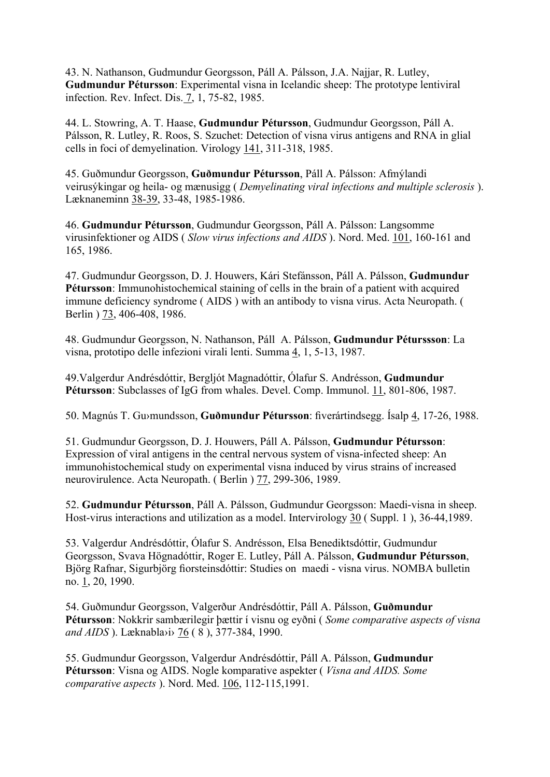43. N. Nathanson, Gudmundur Georgsson, Páll A. Pálsson, J.A. Najjar, R. Lutley, Gudmundur Pétursson: Experimental visna in Icelandic sheep: The prototype lentiviral infection. Rev. Infect. Dis. 7, 1, 75-82, 1985.

44. L. Stowring, A. T. Haase, Gudmundur Pétursson, Gudmundur Georgsson, Páll A. Pálsson, R. Lutley, R. Roos, S. Szuchet: Detection of visna virus antigens and RNA in glial cells in foci of demyelination. Virology 141, 311-318, 1985.

45. Guðmundur Georgsson, Guðmundur Pétursson, Páll A. Pálsson: Afmýlandi veirusýkingar og heila- og mænusigg ( Demyelinating viral infections and multiple sclerosis ). Læknaneminn 38-39, 33-48, 1985-1986.

46. Gudmundur Pétursson, Gudmundur Georgsson, Páll A. Pálsson: Langsomme virusinfektioner og AIDS ( Slow virus infections and AIDS ). Nord. Med. 101, 160-161 and 165, 1986.

47. Gudmundur Georgsson, D. J. Houwers, Kári Stefánsson, Páll A. Pálsson, Gudmundur Pétursson: Immunohistochemical staining of cells in the brain of a patient with acquired immune deficiency syndrome ( AIDS ) with an antibody to visna virus. Acta Neuropath. ( Berlin ) 73, 406-408, 1986.

48. Gudmundur Georgsson, N. Nathanson, Páll A. Pálsson, Gudmundur Péturssson: La visna, prototipo delle infezioni virali lenti. Summa 4, 1, 5-13, 1987.

49.Valgerdur Andrésdóttir, Bergljót Magnadóttir, Ólafur S. Andrésson, Gudmundur Pétursson: Subclasses of IgG from whales. Devel. Comp. Immunol. 11, 801-806, 1987.

50. Magnús T. Gu›mundsson, Guðmundur Pétursson: fiverártindsegg. Ísalp 4, 17-26, 1988.

51. Gudmundur Georgsson, D. J. Houwers, Páll A. Pálsson, Gudmundur Pétursson: Expression of viral antigens in the central nervous system of visna-infected sheep: An immunohistochemical study on experimental visna induced by virus strains of increased neurovirulence. Acta Neuropath. ( Berlin ) 77, 299-306, 1989.

52. Gudmundur Pétursson, Páll A. Pálsson, Gudmundur Georgsson: Maedi-visna in sheep. Host-virus interactions and utilization as a model. Intervirology 30 ( Suppl. 1 ), 36-44,1989.

53. Valgerdur Andrésdóttir, Ólafur S. Andrésson, Elsa Benediktsdóttir, Gudmundur Georgsson, Svava Högnadóttir, Roger E. Lutley, Páll A. Pálsson, Gudmundur Pétursson, Björg Rafnar, Sigurbjörg fiorsteinsdóttir: Studies on maedi - visna virus. NOMBA bulletin no. 1, 20, 1990.

54. Guðmundur Georgsson, Valgerður Andrésdóttir, Páll A. Pálsson, Guðmundur Pétursson: Nokkrir sambærilegir þættir í visnu og eyðni (Some comparative aspects of visna and AIDS ). Læknabla›i› 76 ( 8 ), 377-384, 1990.

55. Gudmundur Georgsson, Valgerdur Andrésdóttir, Páll A. Pálsson, Gudmundur Pétursson: Visna og AIDS. Nogle komparative aspekter (*Visna and AIDS. Some* comparative aspects ). Nord. Med. 106, 112-115,1991.